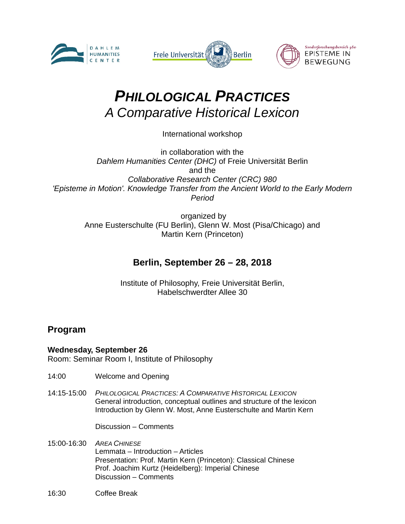





# *PHILOLOGICAL PRACTICES A Comparative Historical Lexicon*

International workshop

in collaboration with the *Dahlem Humanities Center (DHC)* of Freie Universität Berlin and the *Collaborative Research Center (CRC) 980 'Episteme in Motion'. Knowledge Transfer from the Ancient World to the Early Modern Period*

organized by Anne Eusterschulte (FU Berlin), Glenn W. Most (Pisa/Chicago) and Martin Kern (Princeton)

## **Berlin, September 26 – 28, 2018**

Institute of Philosophy, Freie Universität Berlin, Habelschwerdter Allee 30

### **Program**

#### **Wednesday, September 26**

Room: Seminar Room I, Institute of Philosophy

- 14:00 Welcome and Opening
- 14:15-15:00 *PHILOLOGICAL PRACTICES: A COMPARATIVE HISTORICAL LEXICON* General introduction, conceptual outlines and structure of the lexicon Introduction by Glenn W. Most, Anne Eusterschulte and Martin Kern

Discussion – Comments

- 15:00-16:30 *AREA CHINESE* Lemmata – Introduction – Articles Presentation: Prof. Martin Kern (Princeton): Classical Chinese Prof. Joachim Kurtz (Heidelberg): Imperial Chinese Discussion – Comments
- 16:30 Coffee Break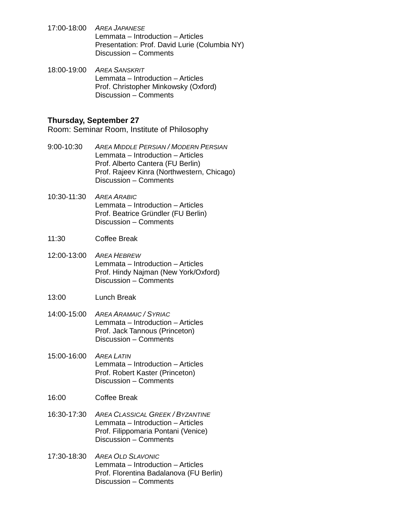- 17:00-18:00 *AREA JAPANESE* Lemmata – Introduction – Articles Presentation: Prof. David Lurie (Columbia NY) Discussion – Comments
- 18:00-19:00 *AREA SANSKRIT* Lemmata – Introduction – Articles Prof. Christopher Minkowsky (Oxford) Discussion – Comments

#### **Thursday, September 27**

Room: Seminar Room, Institute of Philosophy

- 9:00-10:30 *AREA MIDDLE PERSIAN / MODERN PERSIAN* Lemmata – Introduction – Articles Prof. Alberto Cantera (FU Berlin) Prof. Rajeev Kinra (Northwestern, Chicago) Discussion – Comments
- 10:30-11:30 *AREA ARABIC* Lemmata – Introduction – Articles Prof. Beatrice Gründler (FU Berlin) Discussion – Comments
- 11:30 Coffee Break
- 12:00-13:00 *AREA HEBREW* Lemmata – Introduction – Articles Prof. Hindy Najman (New York/Oxford) Discussion – Comments
- 13:00 Lunch Break
- 14:00-15:00 *AREA ARAMAIC / SYRIAC* Lemmata – Introduction – Articles Prof. Jack Tannous (Princeton) Discussion – Comments
- 15:00-16:00 *AREA LATIN* Lemmata – Introduction – Articles Prof. Robert Kaster (Princeton) Discussion – Comments
- 16:00 Coffee Break
- 16:30-17:30 *AREA CLASSICAL GREEK / BYZANTINE* Lemmata – Introduction – Articles Prof. Filippomaria Pontani (Venice) Discussion – Comments
- 17:30-18:30 *AREA OLD SLAVONIC* Lemmata – Introduction – Articles Prof. Florentina Badalanova (FU Berlin) Discussion – Comments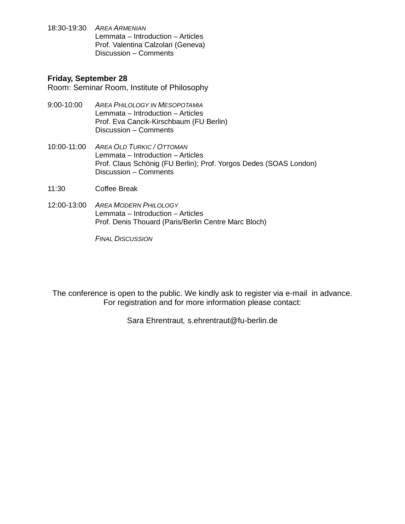18:30-19:30 *AREA ARMENIAN* Lemmata – Introduction – Articles Prof. Valentina Calzolari (Geneva) Discussion – Comments

#### **Friday, September 28**

Room: Seminar Room, Institute of Philosophy

- 9:00-10:00 *AREA PHILOLOGY IN MESOPOTAMIA* Lemmata – Introduction – Articles Prof. Eva Cancik-Kirschbaum (FU Berlin) Discussion – Comments
- 10:00-11:00 *AREA OLD TURKIC / OTTOMAN* Lemmata – Introduction – Articles Prof. Claus Schönig (FU Berlin); Prof. Yorgos Dedes (SOAS London) Discussion – Comments
- 11:30 Coffee Break
- 12:00-13:00 *AREA MODERN PHILOLOGY* Lemmata – Introduction – Articles Prof. Denis Thouard (Paris/Berlin Centre Marc Bloch)

*FINAL DISCUSSION*

The conference is open to the public. We kindly ask to register via e-mail in advance. For registration and for more information please contact:

Sara Ehrentraut*,* s.ehrentraut@fu-berlin.de